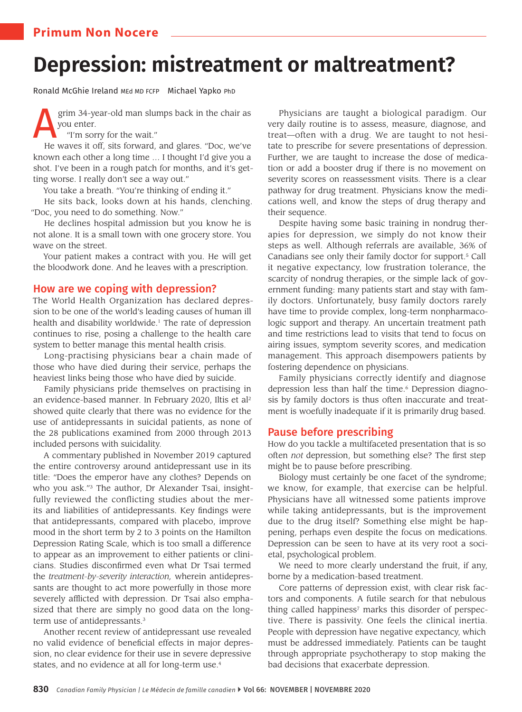# **Primum Non Nocere**

# **Depression: mistreatment or maltreatment?**

Ronald McGhie Ireland MEd MD FCFP Michael Yapko PhD

grim 34-year-old man slumps back in the chair as you enter.

"I'm sorry for the wait."

He waves it off, sits forward, and glares. "Doc, we've known each other a long time … I thought I'd give you a shot. I've been in a rough patch for months, and it's getting worse. I really don't see a way out."

You take a breath. "You're thinking of ending it."

He sits back, looks down at his hands, clenching. "Doc, you need to do something. Now."

He declines hospital admission but you know he is not alone. It is a small town with one grocery store. You wave on the street.

Your patient makes a contract with you. He will get the bloodwork done. And he leaves with a prescription.

# How are we coping with depression?

The World Health Organization has declared depression to be one of the world's leading causes of human ill health and disability worldwide.<sup>1</sup> The rate of depression continues to rise, posing a challenge to the health care system to better manage this mental health crisis.

Long-practising physicians bear a chain made of those who have died during their service, perhaps the heaviest links being those who have died by suicide.

Family physicians pride themselves on practising in an evidence-based manner. In February 2020, Iltis et al<sup>2</sup> showed quite clearly that there was no evidence for the use of antidepressants in suicidal patients, as none of the 28 publications examined from 2000 through 2013 included persons with suicidality.

A commentary published in November 2019 captured the entire controversy around antidepressant use in its title: "Does the emperor have any clothes? Depends on who you ask."<sup>3</sup> The author, Dr Alexander Tsai, insightfully reviewed the conflicting studies about the merits and liabilities of antidepressants. Key findings were that antidepressants, compared with placebo, improve mood in the short term by 2 to 3 points on the Hamilton Depression Rating Scale, which is too small a difference to appear as an improvement to either patients or clinicians. Studies disconfirmed even what Dr Tsai termed the *treatment-by-severity interaction,* wherein antidepressants are thought to act more powerfully in those more severely afflicted with depression. Dr Tsai also emphasized that there are simply no good data on the longterm use of antidepressants.<sup>3</sup>

Another recent review of antidepressant use revealed no valid evidence of beneficial effects in major depression, no clear evidence for their use in severe depressive states, and no evidence at all for long-term use.<sup>4</sup>

Physicians are taught a biological paradigm. Our very daily routine is to assess, measure, diagnose, and treat—often with a drug. We are taught to not hesitate to prescribe for severe presentations of depression. Further, we are taught to increase the dose of medication or add a booster drug if there is no movement on severity scores on reassessment visits. There is a clear pathway for drug treatment. Physicians know the medications well, and know the steps of drug therapy and their sequence.

Despite having some basic training in nondrug therapies for depression, we simply do not know their steps as well. Although referrals are available, 36% of Canadians see only their family doctor for support.<sup>5</sup> Call it negative expectancy, low frustration tolerance, the scarcity of nondrug therapies, or the simple lack of government funding: many patients start and stay with family doctors. Unfortunately, busy family doctors rarely have time to provide complex, long-term nonpharmacologic support and therapy. An uncertain treatment path and time restrictions lead to visits that tend to focus on airing issues, symptom severity scores, and medication management. This approach disempowers patients by fostering dependence on physicians.

Family physicians correctly identify and diagnose depression less than half the time.<sup>6</sup> Depression diagnosis by family doctors is thus often inaccurate and treatment is woefully inadequate if it is primarily drug based.

## Pause before prescribing

How do you tackle a multifaceted presentation that is so often *not* depression, but something else? The first step might be to pause before prescribing.

Biology must certainly be one facet of the syndrome; we know, for example, that exercise can be helpful. Physicians have all witnessed some patients improve while taking antidepressants, but is the improvement due to the drug itself? Something else might be happening, perhaps even despite the focus on medications. Depression can be seen to have at its very root a societal, psychological problem.

We need to more clearly understand the fruit, if any, borne by a medication-based treatment.

Core patterns of depression exist, with clear risk factors and components. A futile search for that nebulous thing called happiness<sup>7</sup> marks this disorder of perspective. There is passivity. One feels the clinical inertia. People with depression have negative expectancy, which must be addressed immediately. Patients can be taught through appropriate psychotherapy to stop making the bad decisions that exacerbate depression.